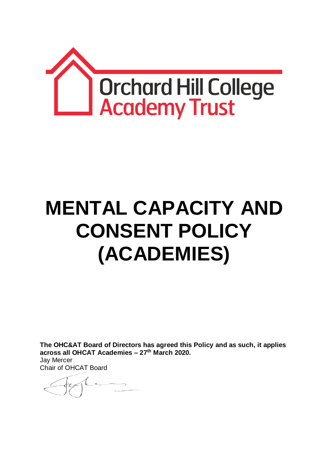

# **MENTAL CAPACITY AND CONSENT POLICY (ACADEMIES)**

**The OHC&AT Board of Directors has agreed this Policy and as such, it applies across all OHCAT Academies – 27th March 2020.** Jay Mercer

Chair of OHCAT Board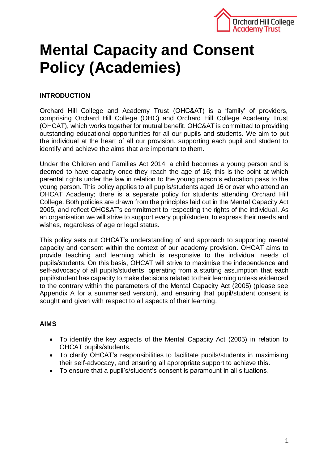

# **Mental Capacity and Consent Policy (Academies)**

# **INTRODUCTION**

Orchard Hill College and Academy Trust (OHC&AT) is a 'family' of providers, comprising Orchard Hill College (OHC) and Orchard Hill College Academy Trust (OHCAT), which works together for mutual benefit. OHC&AT is committed to providing outstanding educational opportunities for all our pupils and students. We aim to put the individual at the heart of all our provision, supporting each pupil and student to identify and achieve the aims that are important to them.

Under the Children and Families Act 2014, a child becomes a young person and is deemed to have capacity once they reach the age of 16; this is the point at which parental rights under the law in relation to the young person's education pass to the young person. This policy applies to all pupils/students aged 16 or over who attend an OHCAT Academy; there is a separate policy for students attending Orchard Hill College. Both policies are drawn from the principles laid out in the Mental Capacity Act 2005, and reflect OHC&AT's commitment to respecting the rights of the individual. As an organisation we will strive to support every pupil/student to express their needs and wishes, regardless of age or legal status.

This policy sets out OHCAT's understanding of and approach to supporting mental capacity and consent within the context of our academy provision. OHCAT aims to provide teaching and learning which is responsive to the individual needs of pupils/students. On this basis, OHCAT will strive to maximise the independence and self-advocacy of all pupils/students, operating from a starting assumption that each pupil/student has capacity to make decisions related to their learning unless evidenced to the contrary within the parameters of the Mental Capacity Act (2005) (please see Appendix A for a summarised version), and ensuring that pupil/student consent is sought and given with respect to all aspects of their learning.

## **AIMS**

- To identify the key aspects of the Mental Capacity Act (2005) in relation to OHCAT pupils/students.
- To clarify OHCAT's responsibilities to facilitate pupils/students in maximising their self-advocacy, and ensuring all appropriate support to achieve this.
- To ensure that a pupil's/student's consent is paramount in all situations.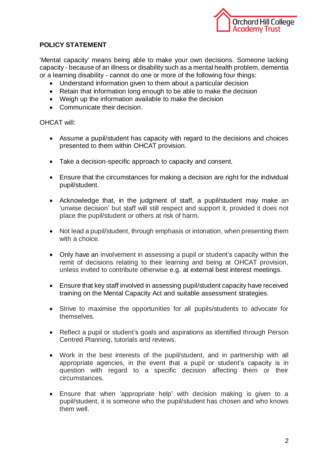

# **POLICY STATEMENT**

'Mental capacity' means being able to make your own decisions. Someone lacking capacity - because of an illness or disability such as a mental health problem, dementia or a learning disability - cannot do one or more of the following four things:

- Understand information given to them about a particular decision
- Retain that information long enough to be able to make the decision
- Weigh up the information available to make the decision
- Communicate their decision.

#### OHCAT will:

- Assume a pupil/student has capacity with regard to the decisions and choices presented to them within OHCAT provision.
- Take a decision-specific approach to capacity and consent.
- Ensure that the circumstances for making a decision are right for the individual pupil/student.
- Acknowledge that, in the judgment of staff, a pupil/student may make an 'unwise decision' but staff will still respect and support it, provided it does not place the pupil/student or others at risk of harm.
- Not lead a pupil/student, through emphasis or intonation, when presenting them with a choice.
- Only have an involvement in assessing a pupil or student's capacity within the remit of decisions relating to their learning and being at OHCAT provision, unless invited to contribute otherwise e.g. at external best interest meetings.
- Ensure that key staff involved in assessing pupil/student capacity have received training on the Mental Capacity Act and suitable assessment strategies.
- Strive to maximise the opportunities for all pupils/students to advocate for themselves.
- Reflect a pupil or student's goals and aspirations as identified through Person Centred Planning, tutorials and reviews.
- Work in the best interests of the pupil/student, and in partnership with all appropriate agencies, in the event that a pupil or student's capacity is in question with regard to a specific decision affecting them or their circumstances.
- Ensure that when 'appropriate help' with decision making is given to a pupil/student, it is someone who the pupil/student has chosen and who knows them well.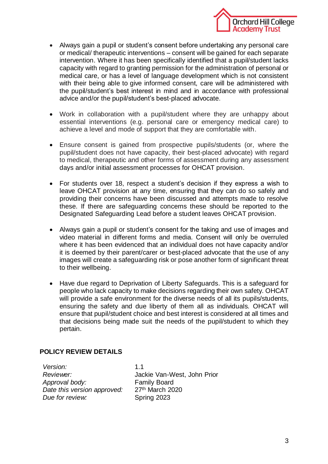

- Always gain a pupil or student's consent before undertaking any personal care or medical/ therapeutic interventions – consent will be gained for each separate intervention. Where it has been specifically identified that a pupil/student lacks capacity with regard to granting permission for the administration of personal or medical care, or has a level of language development which is not consistent with their being able to give informed consent, care will be administered with the pupil/student's best interest in mind and in accordance with professional advice and/or the pupil/student's best-placed advocate.
- Work in collaboration with a pupil/student where they are unhappy about essential interventions (e.g. personal care or emergency medical care) to achieve a level and mode of support that they are comfortable with.
- Ensure consent is gained from prospective pupils/students (or, where the pupil/student does not have capacity, their best-placed advocate) with regard to medical, therapeutic and other forms of assessment during any assessment days and/or initial assessment processes for OHCAT provision.
- For students over 18, respect a student's decision if they express a wish to leave OHCAT provision at any time, ensuring that they can do so safely and providing their concerns have been discussed and attempts made to resolve these. If there are safeguarding concerns these should be reported to the Designated Safeguarding Lead before a student leaves OHCAT provision.
- Always gain a pupil or student's consent for the taking and use of images and video material in different forms and media. Consent will only be overruled where it has been evidenced that an individual does not have capacity and/or it is deemed by their parent/carer or best-placed advocate that the use of any images will create a safeguarding risk or pose another form of significant threat to their wellbeing.
- Have due regard to Deprivation of Liberty Safeguards. This is a safeguard for people who lack capacity to make decisions regarding their own safety. OHCAT will provide a safe environment for the diverse needs of all its pupils/students. ensuring the safety and due liberty of them all as individuals. OHCAT will ensure that pupil/student choice and best interest is considered at all times and that decisions being made suit the needs of the pupil/student to which they pertain.

## **POLICY REVIEW DETAILS**

*Version:* 1.1 *Approval body:* Family Board *Date this version approved:* 27th March 2020 **Due for review:** Spring 2023

*Reviewer:* Jackie Van-West, John Prior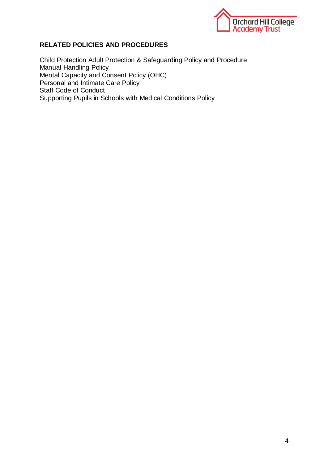

#### **RELATED POLICIES AND PROCEDURES**

Child Protection Adult Protection & Safeguarding Policy and Procedure Manual Handling Policy Mental Capacity and Consent Policy (OHC) Personal and Intimate Care Policy Staff Code of Conduct Supporting Pupils in Schools with Medical Conditions Policy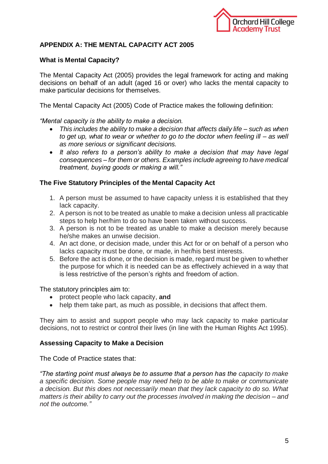

# **APPENDIX A: THE MENTAL CAPACITY ACT 2005**

#### **What is Mental Capacity?**

The Mental Capacity Act (2005) provides the legal framework for acting and making decisions on behalf of an adult (aged 16 or over) who lacks the mental capacity to make particular decisions for themselves.

The Mental Capacity Act (2005) Code of Practice makes the following definition:

*"Mental capacity is the ability to make a decision.*

- *This includes the ability to make a decision that affects daily life – such as when to get up, what to wear or whether to go to the doctor when feeling ill – as well as more serious or significant decisions.*
- *It also refers to a person's ability to make a decision that may have legal consequences – for them or others. Examples include agreeing to have medical treatment, buying goods or making a will."*

#### **The Five Statutory Principles of the Mental Capacity Act**

- 1. A person must be assumed to have capacity unless it is established that they lack capacity.
- 2. A person is not to be treated as unable to make a decision unless all practicable steps to help her/him to do so have been taken without success.
- 3. A person is not to be treated as unable to make a decision merely because he/she makes an unwise decision.
- 4. An act done, or decision made, under this Act for or on behalf of a person who lacks capacity must be done, or made, in her/his best interests.
- 5. Before the act is done, or the decision is made, regard must be given to whether the purpose for which it is needed can be as effectively achieved in a way that is less restrictive of the person's rights and freedom of action.

The statutory principles aim to:

- protect people who lack capacity, **and**
- help them take part, as much as possible, in decisions that affect them.

They aim to assist and support people who may lack capacity to make particular decisions, not to restrict or control their lives (in line with the Human Rights Act 1995).

## **Assessing Capacity to Make a Decision**

The Code of Practice states that:

*"The starting point must always be to assume that a person has the capacity to make a specific decision. Some people may need help to be able to make or communicate a decision. But this does not necessarily mean that they lack capacity to do so. What matters is their ability to carry out the processes involved in making the decision – and not the outcome."*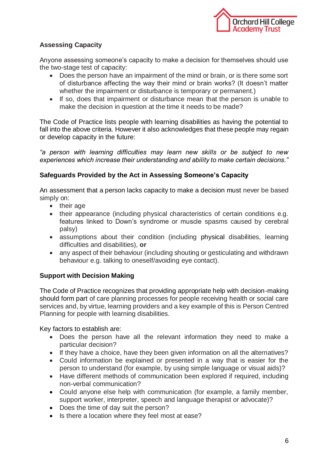

# **Assessing Capacity**

Anyone assessing someone's capacity to make a decision for themselves should use the two-stage test of capacity:

- Does the person have an impairment of the mind or brain, or is there some sort of disturbance affecting the way their mind or brain works? (It doesn't matter whether the impairment or disturbance is temporary or permanent.)
- If so, does that impairment or disturbance mean that the person is unable to make the decision in question at the time it needs to be made?

The Code of Practice lists people with learning disabilities as having the potential to fall into the above criteria. However it also acknowledges that these people may regain or develop capacity in the future:

*"a person with learning difficulties may learn new skills or be subject to new experiences which increase their understanding and ability to make certain decisions."*

#### **Safeguards Provided by the Act in Assessing Someone's Capacity**

An assessment that a person lacks capacity to make a decision must never be based simply on:

- their age
- their appearance (including physical characteristics of certain conditions e.g. features linked to Down's syndrome or muscle spasms caused by cerebral palsy)
- assumptions about their condition (including physical disabilities, learning difficulties and disabilities), **or**
- any aspect of their behaviour (including shouting or gesticulating and withdrawn behaviour e.g. talking to oneself/avoiding eye contact).

## **Support with Decision Making**

The Code of Practice recognizes that providing appropriate help with decision-making should form part of care planning processes for people receiving health or social care services and, by virtue, learning providers and a key example of this is Person Centred Planning for people with learning disabilities.

Key factors to establish are:

- Does the person have all the relevant information they need to make a particular decision?
- If they have a choice, have they been given information on all the alternatives?
- Could information be explained or presented in a way that is easier for the person to understand (for example, by using simple language or visual aids)?
- Have different methods of communication been explored if required, including non-verbal communication?
- Could anyone else help with communication (for example, a family member, support worker, interpreter, speech and language therapist or advocate)?
- Does the time of day suit the person?
- Is there a location where they feel most at ease?